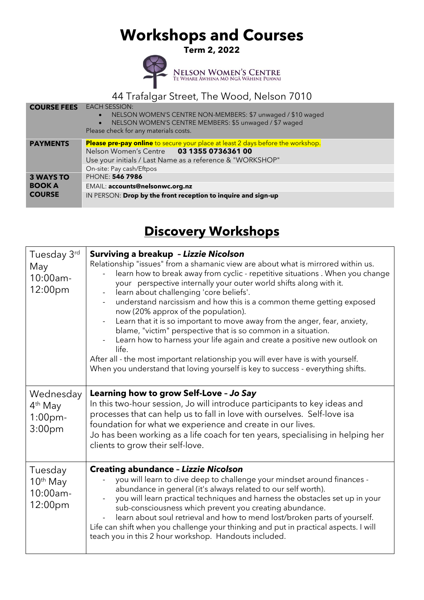# **Workshops and Courses**

**Term 2, 2022** 



NELSON WOMEN'S CENTRE<br>TE WHARE ĀWHINA MO NGĀ WĀHINE PUAWAI

### 44 Trafalgar Street, The Wood, Nelson 7010

#### **COURSE FEES** EACH SESSION: • NELSON WOMEN'S CENTRE NON-MEMBERS: \$7 unwaged / \$10 waged • NELSON WOMEN'S CENTRE MEMBERS: \$5 unwaged / \$7 waged Please check for any materials costs. **PAYMENTS** Please pre-pay online to secure your place at least 2 days before the workshop.<br>Nelson Women's Centre 03 1355 0736361 00 Nelson Women's Centre **03 1355 0736361 00** Use your initials / Last Name as a reference & "WORKSHOP" On-site: Pay cash/Eftpos **3 WAYS TO BOOK A COURSE** PHONE: **546 7986** EMAIL: **accounts@nelsonwc.org.nz** IN PERSON: **Drop by the front reception to inquire and sign-up**

### **Discovery Workshops**

| Tuesday 3rd<br>May<br>10:00am-<br>12:00pm                            | <b>Surviving a breakup - Lizzie Nicolson</b><br>Relationship "issues" from a shamanic view are about what is mirrored within us.<br>learn how to break away from cyclic - repetitive situations. When you change<br>your perspective internally your outer world shifts along with it.<br>learn about challenging 'core beliefs'.<br>understand narcissism and how this is a common theme getting exposed<br>now (20% approx of the population).<br>Learn that it is so important to move away from the anger, fear, anxiety,<br>blame, "victim" perspective that is so common in a situation.<br>Learn how to harness your life again and create a positive new outlook on<br>life.<br>After all - the most important relationship you will ever have is with yourself.<br>When you understand that loving yourself is key to success - everything shifts. |
|----------------------------------------------------------------------|-------------------------------------------------------------------------------------------------------------------------------------------------------------------------------------------------------------------------------------------------------------------------------------------------------------------------------------------------------------------------------------------------------------------------------------------------------------------------------------------------------------------------------------------------------------------------------------------------------------------------------------------------------------------------------------------------------------------------------------------------------------------------------------------------------------------------------------------------------------|
| Wednesday<br>4 <sup>th</sup> May<br>$1:00$ pm-<br>3:00 <sub>pm</sub> | Learning how to grow Self-Love - Jo Say<br>In this two-hour session, Jo will introduce participants to key ideas and<br>processes that can help us to fall in love with ourselves. Self-love isa<br>foundation for what we experience and create in our lives.<br>Jo has been working as a life coach for ten years, specialising in helping her<br>clients to grow their self-love.                                                                                                                                                                                                                                                                                                                                                                                                                                                                        |
| Tuesday<br>$10th$ May<br>10:00am-<br>12:00pm                         | <b>Creating abundance - Lizzie Nicolson</b><br>you will learn to dive deep to challenge your mindset around finances -<br>abundance in general (it's always related to our self worth).<br>you will learn practical techniques and harness the obstacles set up in your<br>sub-consciousness which prevent you creating abundance.<br>learn about soul retrieval and how to mend lost/broken parts of yourself.<br>Life can shift when you challenge your thinking and put in practical aspects. I will<br>teach you in this 2 hour workshop. Handouts included.                                                                                                                                                                                                                                                                                            |